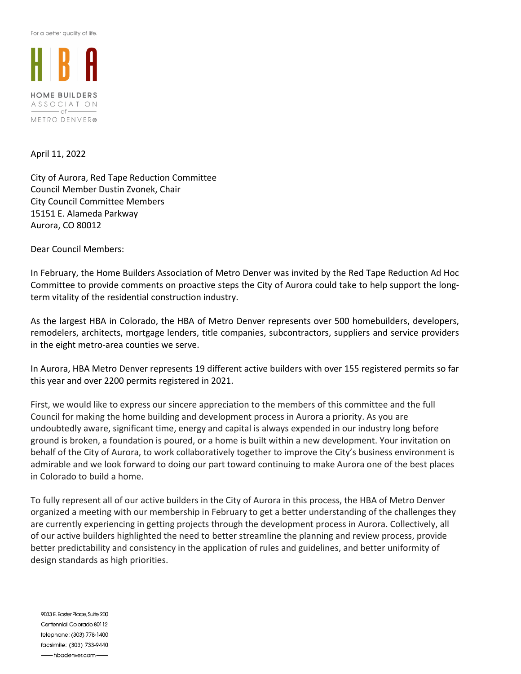For a better quality of life.



### April 11, 2022

City of Aurora, Red Tape Reduction Committee Council Member Dustin Zvonek, Chair City Council Committee Members 15151 E. Alameda Parkway Aurora, CO 80012

Dear Council Members:

In February, the Home Builders Association of Metro Denver was invited by the Red Tape Reduction Ad Hoc Committee to provide comments on proactive steps the City of Aurora could take to help support the longterm vitality of the residential construction industry.

As the largest HBA in Colorado, the HBA of Metro Denver represents over 500 homebuilders, developers, remodelers, architects, mortgage lenders, title companies, subcontractors, suppliers and service providers in the eight metro-area counties we serve.

In Aurora, HBA Metro Denver represents 19 different active builders with over 155 registered permits so far this year and over 2200 permits registered in 2021.

First, we would like to express our sincere appreciation to the members of this committee and the full Council for making the home building and development process in Aurora a priority. As you are undoubtedly aware, significant time, energy and capital is always expended in our industry long before ground is broken, a foundation is poured, or a home is built within a new development. Your invitation on behalf of the City of Aurora, to work collaboratively together to improve the City's business environment is admirable and we look forward to doing our part toward continuing to make Aurora one of the best places in Colorado to build a home.

To fully represent all of our active builders in the City of Aurora in this process, the HBA of Metro Denver organized a meeting with our membership in February to get a better understanding of the challenges they are currently experiencing in getting projects through the development process in Aurora. Collectively, all of our active builders highlighted the need to better streamline the planning and review process, provide better predictability and consistency in the application of rules and guidelines, and better uniformity of design standards as high priorities.

9033 E. Easter Place, Suite 200 Centennial, Colorado 80112 telephone: (303) 778-1400 facsimile: (303) 733-9440 -hbadenver.com-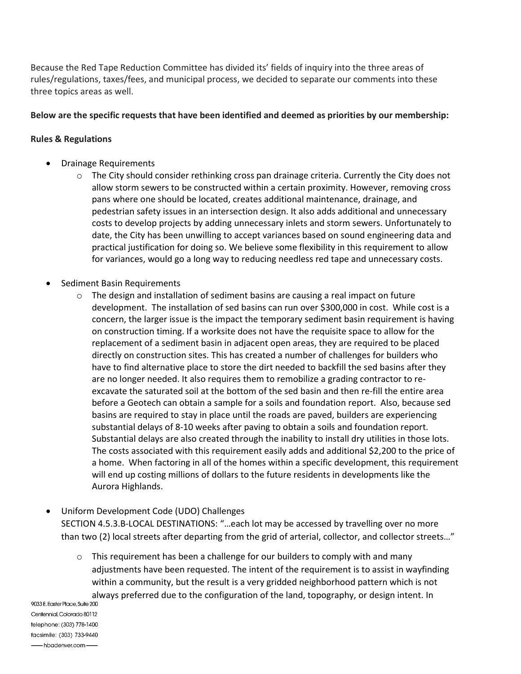Because the Red Tape Reduction Committee has divided its' fields of inquiry into the three areas of rules/regulations, taxes/fees, and municipal process, we decided to separate our comments into these three topics areas as well.

# Below are the specific requests that have been identified and deemed as priorities by our membership:

## Rules & Regulations

- Drainage Requirements
	- $\circ$  The City should consider rethinking cross pan drainage criteria. Currently the City does not allow storm sewers to be constructed within a certain proximity. However, removing cross pans where one should be located, creates additional maintenance, drainage, and pedestrian safety issues in an intersection design. It also adds additional and unnecessary costs to develop projects by adding unnecessary inlets and storm sewers. Unfortunately to date, the City has been unwilling to accept variances based on sound engineering data and practical justification for doing so. We believe some flexibility in this requirement to allow for variances, would go a long way to reducing needless red tape and unnecessary costs.
- Sediment Basin Requirements
	- $\circ$  The design and installation of sediment basins are causing a real impact on future development. The installation of sed basins can run over \$300,000 in cost. While cost is a concern, the larger issue is the impact the temporary sediment basin requirement is having on construction timing. If a worksite does not have the requisite space to allow for the replacement of a sediment basin in adjacent open areas, they are required to be placed directly on construction sites. This has created a number of challenges for builders who have to find alternative place to store the dirt needed to backfill the sed basins after they are no longer needed. It also requires them to remobilize a grading contractor to reexcavate the saturated soil at the bottom of the sed basin and then re-fill the entire area before a Geotech can obtain a sample for a soils and foundation report. Also, because sed basins are required to stay in place until the roads are paved, builders are experiencing substantial delays of 8-10 weeks after paving to obtain a soils and foundation report. Substantial delays are also created through the inability to install dry utilities in those lots. The costs associated with this requirement easily adds and additional \$2,200 to the price of a home. When factoring in all of the homes within a specific development, this requirement will end up costing millions of dollars to the future residents in developments like the Aurora Highlands.
- Uniform Development Code (UDO) Challenges SECTION 4.5.3.B-LOCAL DESTINATIONS: "…each lot may be accessed by travelling over no more than two (2) local streets after departing from the grid of arterial, collector, and collector streets…"
- $\circ$  This requirement has been a challenge for our builders to comply with and many adjustments have been requested. The intent of the requirement is to assist in wayfinding within a community, but the result is a very gridded neighborhood pattern which is not always preferred due to the configuration of the land, topography, or design intent. In<br>%33E.EqsterPlace.Suite 200

Centennial Colorado 80112 telephone: (303) 778-1400 facsimile: (303) 733-9440 hbadenver.com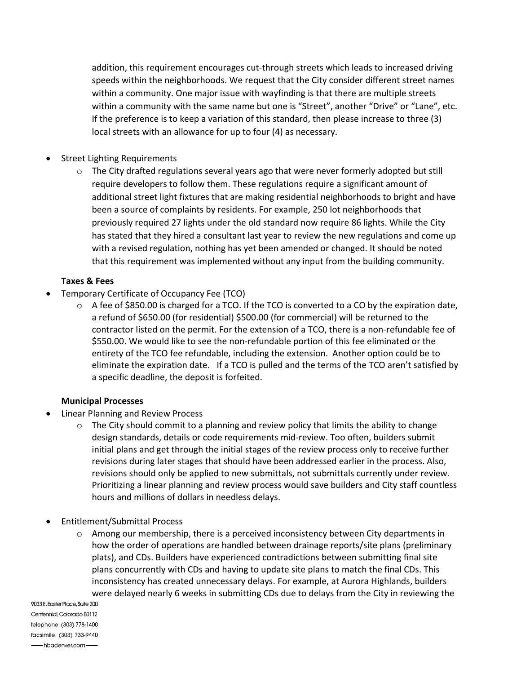addition, this requirement encourages cut-through streets which leads to increased driving speeds within the neighborhoods. We request that the City consider different street names within a community. One major issue with wayfinding is that there are multiple streets within a community with the same name but one is "Street", another "Drive" or "Lane", etc. If the preference is to keep a variation of this standard, then please increase to three (3) local streets with an allowance for up to four (4) as necessary.

- Street Lighting Requirements
	- $\circ$  The City drafted regulations several years ago that were never formerly adopted but still require developers to follow them. These regulations require a significant amount of additional street light fixtures that are making residential neighborhoods to bright and have been a source of complaints by residents. For example, 250 lot neighborhoods that previously required 27 lights under the old standard now require 86 lights. While the City has stated that they hired a consultant last year to review the new regulations and come up with a revised regulation, nothing has yet been amended or changed. It should be noted that this requirement was implemented without any input from the building community.

# Taxes & Fees

- Temporary Certificate of Occupancy Fee (TCO)
	- $\circ$  A fee of \$850.00 is charged for a TCO. If the TCO is converted to a CO by the expiration date, a refund of \$650.00 (for residential) \$500.00 (for commercial) will be returned to the contractor listed on the permit. For the extension of a TCO, there is a non-refundable fee of \$550.00. We would like to see the non-refundable portion of this fee eliminated or the entirety of the TCO fee refundable, including the extension. Another option could be to eliminate the expiration date. If a TCO is pulled and the terms of the TCO aren't satisfied by a specific deadline, the deposit is forfeited.

# Municipal Processes

- Linear Planning and Review Process
	- o The City should commit to a planning and review policy that limits the ability to change design standards, details or code requirements mid-review. Too often, builders submit initial plans and get through the initial stages of the review process only to receive further revisions during later stages that should have been addressed earlier in the process. Also, revisions should only be applied to new submittals, not submittals currently under review. Prioritizing a linear planning and review process would save builders and City staff countless hours and millions of dollars in needless delays.
- Entitlement/Submittal Process
	- $\circ$  Among our membership, there is a perceived inconsistency between City departments in how the order of operations are handled between drainage reports/site plans (preliminary plats), and CDs. Builders have experienced contradictions between submitting final site plans concurrently with CDs and having to update site plans to match the final CDs. This inconsistency has created unnecessary delays. For example, at Aurora Highlands, builders were delayed nearly 6 weeks in submitting CDs due to delays from the City in reviewing the

9033 E. Easter Place, Suite 200 Centennial Colorado 80112 telephone: (303) 778-1400 facsimile: (303) 733-9440 hbadenver.com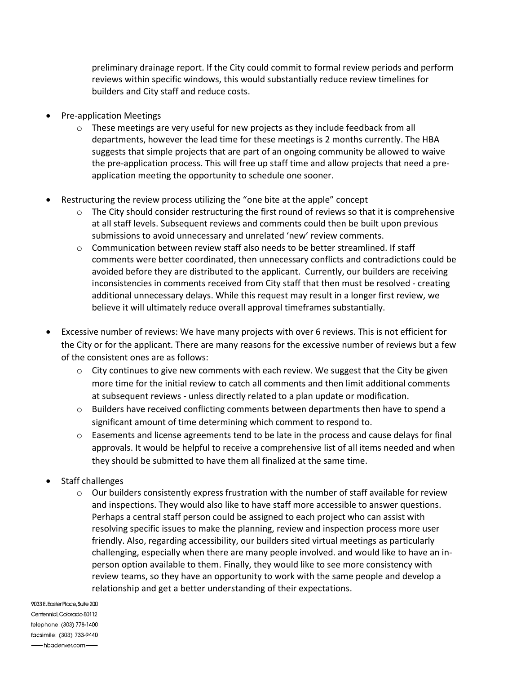preliminary drainage report. If the City could commit to formal review periods and perform reviews within specific windows, this would substantially reduce review timelines for builders and City staff and reduce costs.

- Pre-application Meetings
	- $\circ$  These meetings are very useful for new projects as they include feedback from all departments, however the lead time for these meetings is 2 months currently. The HBA suggests that simple projects that are part of an ongoing community be allowed to waive the pre-application process. This will free up staff time and allow projects that need a preapplication meeting the opportunity to schedule one sooner.
- Restructuring the review process utilizing the "one bite at the apple" concept
	- $\circ$  The City should consider restructuring the first round of reviews so that it is comprehensive at all staff levels. Subsequent reviews and comments could then be built upon previous submissions to avoid unnecessary and unrelated 'new' review comments.
	- $\circ$  Communication between review staff also needs to be better streamlined. If staff comments were better coordinated, then unnecessary conflicts and contradictions could be avoided before they are distributed to the applicant. Currently, our builders are receiving inconsistencies in comments received from City staff that then must be resolved - creating additional unnecessary delays. While this request may result in a longer first review, we believe it will ultimately reduce overall approval timeframes substantially.
- Excessive number of reviews: We have many projects with over 6 reviews. This is not efficient for the City or for the applicant. There are many reasons for the excessive number of reviews but a few of the consistent ones are as follows:
	- $\circ$  City continues to give new comments with each review. We suggest that the City be given more time for the initial review to catch all comments and then limit additional comments at subsequent reviews - unless directly related to a plan update or modification.
	- $\circ$  Builders have received conflicting comments between departments then have to spend a significant amount of time determining which comment to respond to.
	- $\circ$  Easements and license agreements tend to be late in the process and cause delays for final approvals. It would be helpful to receive a comprehensive list of all items needed and when they should be submitted to have them all finalized at the same time.
- Staff challenges
	- $\circ$  Our builders consistently express frustration with the number of staff available for review and inspections. They would also like to have staff more accessible to answer questions. Perhaps a central staff person could be assigned to each project who can assist with resolving specific issues to make the planning, review and inspection process more user friendly. Also, regarding accessibility, our builders sited virtual meetings as particularly challenging, especially when there are many people involved. and would like to have an inperson option available to them. Finally, they would like to see more consistency with review teams, so they have an opportunity to work with the same people and develop a relationship and get a better understanding of their expectations.

9033 E. Easter Place, Suite 200 Centennial, Colorado 80112 telephone: (303) 778-1400 facsimile: (303) 733-9440 hbadenver.com-